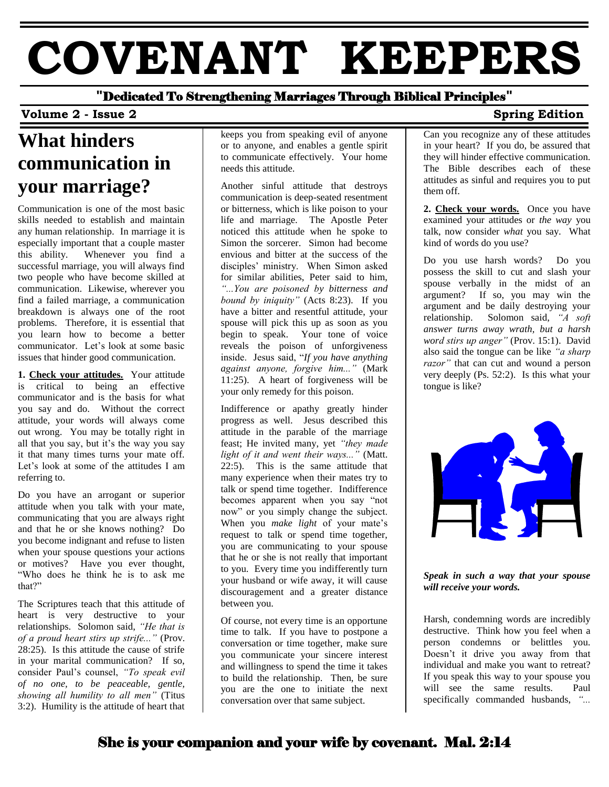# **COVENANT KEEPERS**

**"**Dedicated To Strengthening Marriages Through Biblical Principles**"**

#### **Volume 2 - Issue 2** Spring Edition

## **What hinders communication in your marriage?**

Communication is one of the most basic skills needed to establish and maintain any human relationship. In marriage it is especially important that a couple master this ability. Whenever you find a successful marriage, you will always find two people who have become skilled at communication. Likewise, wherever you find a failed marriage, a communication breakdown is always one of the root problems. Therefore, it is essential that you learn how to become a better communicator. Let's look at some basic issues that hinder good communication.

**1. Check your attitudes.** Your attitude is critical to being an effective communicator and is the basis for what you say and do. Without the correct attitude, your words will always come out wrong. You may be totally right in all that you say, but it's the way you say it that many times turns your mate off. Let's look at some of the attitudes I am referring to.

Do you have an arrogant or superior attitude when you talk with your mate, communicating that you are always right and that he or she knows nothing? Do you become indignant and refuse to listen when your spouse questions your actions or motives? Have you ever thought, "Who does he think he is to ask me that?"

The Scriptures teach that this attitude of heart is very destructive to your relationships. Solomon said, *"He that is of a proud heart stirs up strife..."* (Prov. 28:25). Is this attitude the cause of strife in your marital communication? If so, consider Paul's counsel, *"To speak evil of no one, to be peaceable, gentle, showing all humility to all men"* (Titus 3:2). Humility is the attitude of heart that

keeps you from speaking evil of anyone or to anyone, and enables a gentle spirit to communicate effectively. Your home needs this attitude.

Another sinful attitude that destroys communication is deep-seated resentment or bitterness, which is like poison to your life and marriage. The Apostle Peter noticed this attitude when he spoke to Simon the sorcerer. Simon had become envious and bitter at the success of the disciples' ministry. When Simon asked for similar abilities, Peter said to him, *"...You are poisoned by bitterness and bound by iniquity"* (Acts 8:23). If you have a bitter and resentful attitude, your spouse will pick this up as soon as you begin to speak. Your tone of voice reveals the poison of unforgiveness inside. Jesus said, "*If you have anything against anyone, forgive him..."* (Mark 11:25). A heart of forgiveness will be your only remedy for this poison.

Indifference or apathy greatly hinder progress as well. Jesus described this attitude in the parable of the marriage feast; He invited many, yet *"they made light of it and went their ways..."* (Matt. 22:5). This is the same attitude that many experience when their mates try to talk or spend time together. Indifference becomes apparent when you say "not now" or you simply change the subject. When you *make light* of your mate's request to talk or spend time together, you are communicating to your spouse that he or she is not really that important to you. Every time you indifferently turn your husband or wife away, it will cause discouragement and a greater distance between you.

Of course, not every time is an opportune time to talk. If you have to postpone a conversation or time together, make sure you communicate your sincere interest and willingness to spend the time it takes to build the relationship. Then, be sure you are the one to initiate the next conversation over that same subject.

Can you recognize any of these attitudes in your heart? If you do, be assured that they will hinder effective communication. The Bible describes each of these attitudes as sinful and requires you to put them off.

**2. Check your words.** Once you have examined your attitudes or *the way* you talk, now consider *what* you say. What kind of words do you use?

Do you use harsh words? Do you possess the skill to cut and slash your spouse verbally in the midst of an argument? If so, you may win the argument and be daily destroying your relationship. Solomon said, *"A soft answer turns away wrath, but a harsh word stirs up anger"* (Prov. 15:1). David also said the tongue can be like *"a sharp razor"* that can cut and wound a person very deeply (Ps. 52:2). Is this what your tongue is like?



*Speak in such a way that your spouse will receive your words.*

Harsh, condemning words are incredibly destructive. Think how you feel when a person condemns or belittles you. Doesn't it drive you away from that individual and make you want to retreat? If you speak this way to your spouse you will see the same results. Paul specifically commanded husbands, *"...*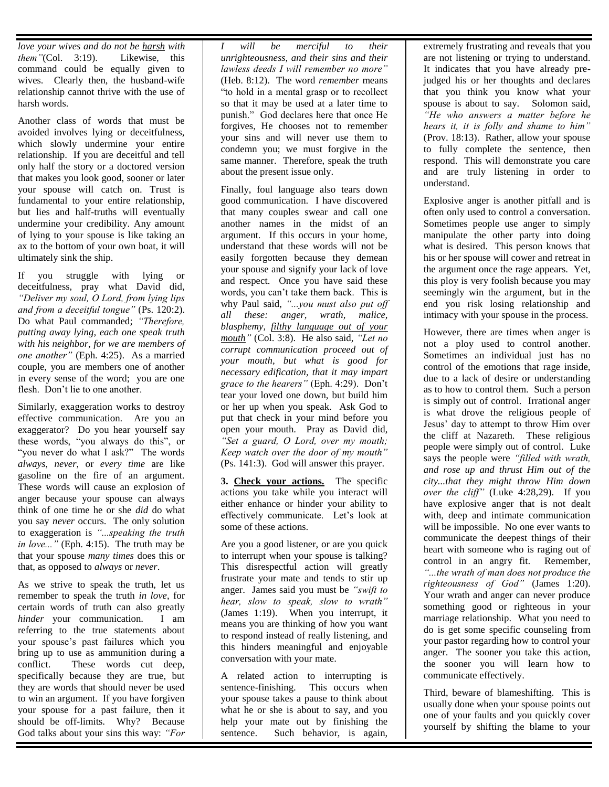*love your wives and do not be harsh with them"*(Col. 3:19). Likewise, this command could be equally given to wives. Clearly then, the husband-wife relationship cannot thrive with the use of harsh words.

Another class of words that must be avoided involves lying or deceitfulness, which slowly undermine your entire relationship. If you are deceitful and tell only half the story or a doctored version that makes you look good, sooner or later your spouse will catch on. Trust is fundamental to your entire relationship, but lies and half-truths will eventually undermine your credibility. Any amount of lying to your spouse is like taking an ax to the bottom of your own boat, it will ultimately sink the ship.

If you struggle with lying or deceitfulness, pray what David did, *"Deliver my soul, O Lord, from lying lips and from a deceitful tongue"* (Ps. 120:2). Do what Paul commanded; *"Therefore, putting away lying, each one speak truth with his neighbor, for we are members of one another"* (Eph. 4:25). As a married couple, you are members one of another in every sense of the word; you are one flesh. Don't lie to one another.

Similarly, exaggeration works to destroy effective communication. Are you an exaggerator? Do you hear yourself say these words, "you always do this", or "you never do what I ask?" The words *always*, *never*, or *every time* are like gasoline on the fire of an argument. These words will cause an explosion of anger because your spouse can always think of one time he or she *did* do what you say *never* occurs. The only solution to exaggeration is *"...speaking the truth in love..."* (Eph. 4:15). The truth may be that your spouse *many times* does this or that, as opposed to *always* or *never*.

As we strive to speak the truth, let us remember to speak the truth *in love*, for certain words of truth can also greatly *hinder* your communication. I am referring to the true statements about your spouse's past failures which you bring up to use as ammunition during a conflict. These words cut deep, specifically because they are true, but they are words that should never be used to win an argument. If you have forgiven your spouse for a past failure, then it should be off-limits. Why? Because God talks about your sins this way: *"For* 

*I will be merciful to their unrighteousness, and their sins and their lawless deeds I will remember no more"* (Heb. 8:12). The word *remember* means "to hold in a mental grasp or to recollect so that it may be used at a later time to punish." God declares here that once He forgives, He chooses not to remember your sins and will never use them to condemn you; we must forgive in the same manner. Therefore, speak the truth about the present issue only.

Finally, foul language also tears down good communication. I have discovered that many couples swear and call one another names in the midst of an argument. If this occurs in your home, understand that these words will not be easily forgotten because they demean your spouse and signify your lack of love and respect. Once you have said these words, you can't take them back. This is why Paul said, *"...you must also put off all these: anger, wrath, malice, blasphemy, filthy language out of your mouth"* (Col. 3:8). He also said, *"Let no corrupt communication proceed out of your mouth, but what is good for necessary edification, that it may impart grace to the hearers"* (Eph. 4:29). Don't tear your loved one down, but build him or her up when you speak. Ask God to put that check in your mind before you open your mouth. Pray as David did, *"Set a guard, O Lord, over my mouth; Keep watch over the door of my mouth"* (Ps. 141:3). God will answer this prayer.

**3. Check your actions.** The specific actions you take while you interact will either enhance or hinder your ability to effectively communicate. Let's look at some of these actions.

Are you a good listener, or are you quick to interrupt when your spouse is talking? This disrespectful action will greatly frustrate your mate and tends to stir up anger. James said you must be *"swift to hear, slow to speak, slow to wrath"* (James 1:19). When you interrupt, it means you are thinking of how you want to respond instead of really listening, and this hinders meaningful and enjoyable conversation with your mate.

A related action to interrupting is sentence-finishing. This occurs when your spouse takes a pause to think about what he or she is about to say, and you help your mate out by finishing the sentence. Such behavior, is again,

extremely frustrating and reveals that you are not listening or trying to understand. It indicates that you have already prejudged his or her thoughts and declares that you think you know what your spouse is about to say. Solomon said, *"He who answers a matter before he hears it, it is folly and shame to him"* (Prov. 18:13). Rather, allow your spouse to fully complete the sentence, then respond. This will demonstrate you care and are truly listening in order to understand.

Explosive anger is another pitfall and is often only used to control a conversation. Sometimes people use anger to simply manipulate the other party into doing what is desired. This person knows that his or her spouse will cower and retreat in the argument once the rage appears. Yet, this ploy is very foolish because you may seemingly win the argument, but in the end you risk losing relationship and intimacy with your spouse in the process.

However, there are times when anger is not a ploy used to control another. Sometimes an individual just has no control of the emotions that rage inside, due to a lack of desire or understanding as to how to control them. Such a person is simply out of control. Irrational anger is what drove the religious people of Jesus' day to attempt to throw Him over the cliff at Nazareth. These religious people were simply out of control. Luke says the people were *"filled with wrath, and rose up and thrust Him out of the city...that they might throw Him down over the cliff"* (Luke 4:28,29). If you have explosive anger that is not dealt with, deep and intimate communication will be impossible. No one ever wants to communicate the deepest things of their heart with someone who is raging out of control in an angry fit. Remember, *"...the wrath of man does not produce the righteousness of God"* (James 1:20). Your wrath and anger can never produce something good or righteous in your marriage relationship. What you need to do is get some specific counseling from your pastor regarding how to control your anger. The sooner you take this action, the sooner you will learn how to communicate effectively.

Third, beware of blameshifting. This is usually done when your spouse points out one of your faults and you quickly cover yourself by shifting the blame to your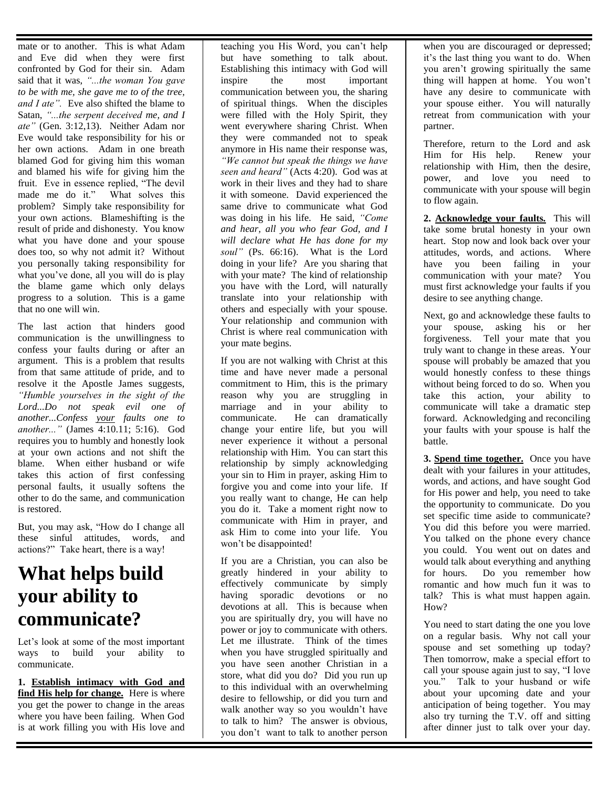mate or to another. This is what Adam and Eve did when they were first confronted by God for their sin. Adam said that it was, *"...the woman You gave to be with me, she gave me to of the tree, and I ate".* Eve also shifted the blame to Satan, *"...the serpent deceived me, and I ate"* (Gen. 3:12,13). Neither Adam nor Eve would take responsibility for his or her own actions. Adam in one breath blamed God for giving him this woman and blamed his wife for giving him the fruit. Eve in essence replied, "The devil made me do it." What solves this problem? Simply take responsibility for your own actions. Blameshifting is the result of pride and dishonesty. You know what you have done and your spouse does too, so why not admit it? Without you personally taking responsibility for what you've done, all you will do is play the blame game which only delays progress to a solution. This is a game that no one will win.

The last action that hinders good communication is the unwillingness to confess your faults during or after an argument. This is a problem that results from that same attitude of pride, and to resolve it the Apostle James suggests, *"Humble yourselves in the sight of the Lord...Do not speak evil one of another...Confess your faults one to another..."* (James 4:10.11; 5:16). God requires you to humbly and honestly look at your own actions and not shift the blame. When either husband or wife takes this action of first confessing personal faults, it usually softens the other to do the same, and communication is restored.

But, you may ask, "How do I change all these sinful attitudes, words, and actions?" Take heart, there is a way!

### **What helps build your ability to communicate?**

Let's look at some of the most important ways to build your ability to communicate.

**1. Establish intimacy with God and find His help for change.** Here is where you get the power to change in the areas where you have been failing. When God is at work filling you with His love and

teaching you His Word, you can't help but have something to talk about. Establishing this intimacy with God will inspire the most important communication between you, the sharing of spiritual things. When the disciples were filled with the Holy Spirit, they went everywhere sharing Christ. When they were commanded not to speak anymore in His name their response was, *"We cannot but speak the things we have seen and heard"* (Acts 4:20). God was at work in their lives and they had to share it with someone. David experienced the same drive to communicate what God was doing in his life. He said, *"Come and hear, all you who fear God, and I will declare what He has done for my soul"* (Ps. 66:16). What is the Lord doing in your life? Are you sharing that with your mate? The kind of relationship you have with the Lord, will naturally translate into your relationship with others and especially with your spouse. Your relationship and communion with Christ is where real communication with your mate begins.

If you are not walking with Christ at this time and have never made a personal commitment to Him, this is the primary reason why you are struggling in marriage and in your ability to communicate. He can dramatically change your entire life, but you will never experience it without a personal relationship with Him. You can start this relationship by simply acknowledging your sin to Him in prayer, asking Him to forgive you and come into your life. If you really want to change, He can help you do it. Take a moment right now to communicate with Him in prayer, and ask Him to come into your life. You won't be disappointed!

If you are a Christian, you can also be greatly hindered in your ability to effectively communicate by simply having sporadic devotions or no devotions at all. This is because when you are spiritually dry, you will have no power or joy to communicate with others. Let me illustrate. Think of the times when you have struggled spiritually and you have seen another Christian in a store, what did you do? Did you run up to this individual with an overwhelming desire to fellowship, or did you turn and walk another way so you wouldn't have to talk to him? The answer is obvious, you don't want to talk to another person

when you are discouraged or depressed; it's the last thing you want to do. When you aren't growing spiritually the same thing will happen at home. You won't have any desire to communicate with your spouse either. You will naturally retreat from communication with your partner.

Therefore, return to the Lord and ask Him for His help. Renew your relationship with Him, then the desire, power, and love you need to communicate with your spouse will begin to flow again.

**2. Acknowledge your faults.** This will take some brutal honesty in your own heart. Stop now and look back over your attitudes, words, and actions. Where have you been failing in your communication with your mate? You must first acknowledge your faults if you desire to see anything change.

Next, go and acknowledge these faults to your spouse, asking his or her forgiveness. Tell your mate that you truly want to change in these areas. Your spouse will probably be amazed that you would honestly confess to these things without being forced to do so. When you take this action, your ability to communicate will take a dramatic step forward. Acknowledging and reconciling your faults with your spouse is half the battle.

**3. Spend time together.** Once you have dealt with your failures in your attitudes, words, and actions, and have sought God for His power and help, you need to take the opportunity to communicate. Do you set specific time aside to communicate? You did this before you were married. You talked on the phone every chance you could. You went out on dates and would talk about everything and anything for hours. Do you remember how romantic and how much fun it was to talk? This is what must happen again. How?

You need to start dating the one you love on a regular basis. Why not call your spouse and set something up today? Then tomorrow, make a special effort to call your spouse again just to say, "I love you." Talk to your husband or wife about your upcoming date and your anticipation of being together. You may also try turning the T.V. off and sitting after dinner just to talk over your day.